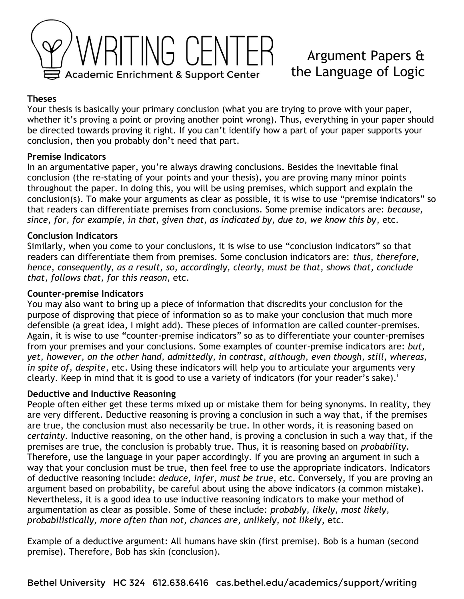

# Argument Papers & the Language of Logic

## **Theses**

Your thesis is basically your primary conclusion (what you are trying to prove with your paper, whether it's proving a point or proving another point wrong). Thus, everything in your paper should be directed towards proving it right. If you can't identify how a part of your paper supports your conclusion, then you probably don't need that part.

#### **Premise Indicators**

In an argumentative paper, you're always drawing conclusions. Besides the inevitable final conclusion (the re-stating of your points and your thesis), you are proving many minor points throughout the paper. In doing this, you will be using premises, which support and explain the conclusion(s). To make your arguments as clear as possible, it is wise to use "premise indicators" so that readers can differentiate premises from conclusions. Some premise indicators are: *because, since, for, for example, in that, given that, as indicated by, due to, we know this by*, etc.

## **Conclusion Indicators**

Similarly, when you come to your conclusions, it is wise to use "conclusion indicators" so that readers can differentiate them from premises. Some conclusion indicators are: *thus, therefore, hence, consequently, as a result, so, accordingly, clearly, must be that, shows that, conclude that, follows that, for this reason*, etc.

## **Counter-premise Indicators**

You may also want to bring up a piece of information that discredits your conclusion for the purpose of disproving that piece of information so as to make your conclusion that much more defensible (a great idea, I might add). These pieces of information are called counter-premises. Again, it is wise to use "counter-premise indicators" so as to differentiate your counter-premises from your premises and your conclusions. Some examples of counter-premise indicators are: *but, yet, however, on the other hand, admittedly, in contrast, although, even though, still, whereas, in spite of, despite*, etc. Using these indicators will help you to articulate your arguments very clearly. Keep in mind that it is good to use a variety of indicators (for your reader's sake).<sup>1</sup>

#### **Deductive and Inductive Reasoning**

People often either get these terms mixed up or mistake them for being synonyms. In reality, they are very different. Deductive reasoning is proving a conclusion in such a way that, if the premises are true, the conclusion must also necessarily be true. In other words, it is reasoning based on *certainty*. Inductive reasoning, on the other hand, is proving a conclusion in such a way that, if the premises are true, the conclusion is probably true. Thus, it is reasoning based on *probability*. Therefore, use the language in your paper accordingly. If you are proving an argument in such a way that your conclusion must be true, then feel free to use the appropriate indicators. Indicators of deductive reasoning include: *deduce, infer, must be true*, etc. Conversely, if you are proving an argument based on probability, be careful about using the above indicators (a common mistake). Nevertheless, it is a good idea to use inductive reasoning indicators to make your method of argumentation as clear as possible. Some of these include: *probably, likely, most likely, probabilistically, more often than not, chances are, unlikely, not likely*, etc.

Example of a deductive argument: All humans have skin (first premise). Bob is a human (second premise). Therefore, Bob has skin (conclusion).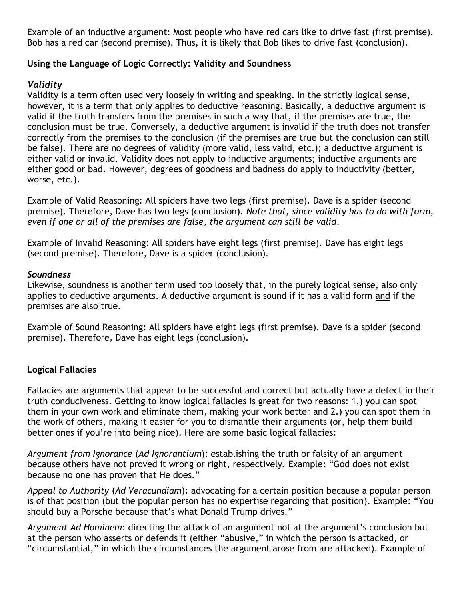Example of an inductive argument: Most people who have red cars like to drive fast (first premise). Bob has a red car (second premise). Thus, it is likely that Bob likes to drive fast (conclusion).

# **Using the Language of Logic Correctly: Validity and Soundness**

# *Validity*

Validity is a term often used very loosely in writing and speaking. In the strictly logical sense, however, it is a term that only applies to deductive reasoning. Basically, a deductive argument is valid if the truth transfers from the premises in such a way that, if the premises are true, the conclusion must be true. Conversely, a deductive argument is invalid if the truth does not transfer correctly from the premises to the conclusion (if the premises are true but the conclusion can still be false). There are no degrees of validity (more valid, less valid, etc.); a deductive argument is either valid or invalid. Validity does not apply to inductive arguments; inductive arguments are either good or bad. However, degrees of goodness and badness do apply to inductivity (better, worse, etc.).

Example of Valid Reasoning: All spiders have two legs (first premise). Dave is a spider (second premise). Therefore, Dave has two legs (conclusion). *Note that, since validity has to do with form, even if one or all of the premises are false, the argument can still be valid*.

Example of Invalid Reasoning: All spiders have eight legs (first premise). Dave has eight legs (second premise). Therefore, Dave is a spider (conclusion).

#### *Soundness*

Likewise, soundness is another term used too loosely that, in the purely logical sense, also only applies to deductive arguments. A deductive argument is sound if it has a valid form and if the premises are also true.

Example of Sound Reasoning: All spiders have eight legs (first premise). Dave is a spider (second premise). Therefore, Dave has eight legs (conclusion).

# **Logical Fallacies**

Fallacies are arguments that appear to be successful and correct but actually have a defect in their truth conduciveness. Getting to know logical fallacies is great for two reasons: 1.) you can spot them in your own work and eliminate them, making your work better and 2.) you can spot them in the work of others, making it easier for you to dismantle their arguments (or, help them build better ones if you're into being nice). Here are some basic logical fallacies:

*Argument from Ignorance* (*Ad Ignorantium*): establishing the truth or falsity of an argument because others have not proved it wrong or right, respectively. Example: "God does not exist because no one has proven that He does."

*Appeal to Authority* (*Ad Veracundiam*): advocating for a certain position because a popular person is of that position (but the popular person has no expertise regarding that position). Example: "You should buy a Porsche because that's what Donald Trump drives."

*Argument Ad Hominem*: directing the attack of an argument not at the argument's conclusion but at the person who asserts or defends it (either "abusive," in which the person is attacked, or "circumstantial," in which the circumstances the argument arose from are attacked). Example of